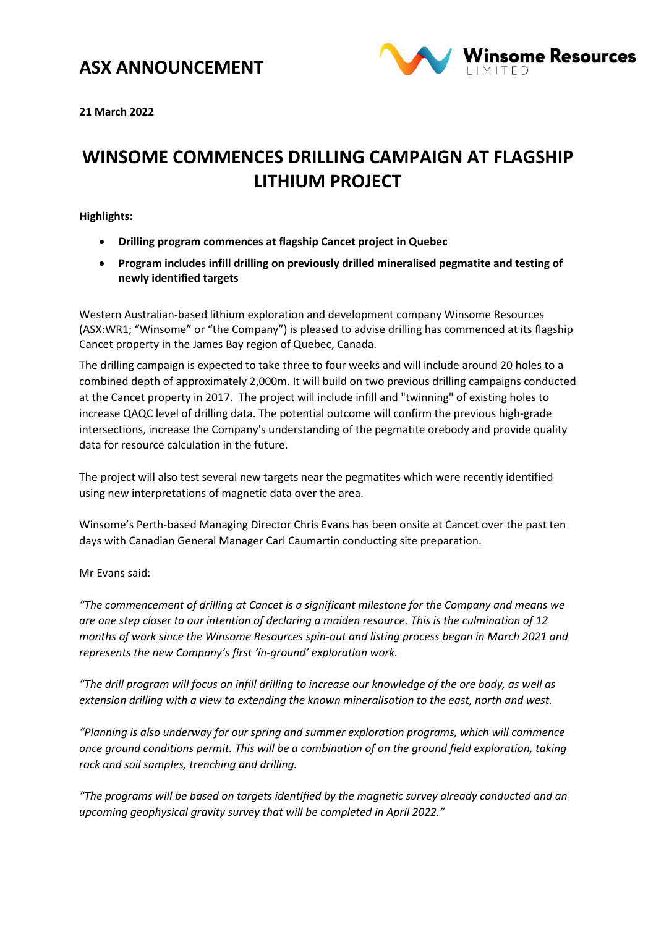### **ASX ANNOUNCEMENT**



**21 March 2022**

# **WINSOME COMMENCES DRILLING CAMPAIGN AT FLAGSHIP LITHIUM PROJECT**

**Highlights:**

- **Drilling program commences at flagship Cancet project in Quebec**
- **Program includes infill drilling on previously drilled mineralised pegmatite and testing of newly identified targets**

Western Australian-based lithium exploration and development company Winsome Resources (ASX:WR1; "Winsome" or "the Company") is pleased to advise drilling has commenced at its flagship Cancet property in the James Bay region of Quebec, Canada.

The drilling campaign is expected to take three to four weeks and will include around 20 holes to a combined depth of approximately 2,000m. It will build on two previous drilling campaigns conducted at the Cancet property in 2017. The project will include infill and "twinning" of existing holes to increase QAQC level of drilling data. The potential outcome will confirm the previous high-grade intersections, increase the Company's understanding of the pegmatite orebody and provide quality data for resource calculation in the future.

The project will also test several new targets near the pegmatites which were recently identified using new interpretations of magnetic data over the area.

Winsome's Perth-based Managing Director Chris Evans has been onsite at Cancet over the past ten days with Canadian General Manager Carl Caumartin conducting site preparation.

Mr Evans said:

*"The commencement of drilling at Cancet is a significant milestone for the Company and means we are one step closer to our intention of declaring a maiden resource. This is the culmination of 12 months of work since the Winsome Resources spin-out and listing process began in March 2021 and represents the new Company's first 'ín-ground' exploration work.* 

*"The drill program will focus on infill drilling to increase our knowledge of the ore body, as well as extension drilling with a view to extending the known mineralisation to the east, north and west.*

*"Planning is also underway for our spring and summer exploration programs, which will commence once ground conditions permit. This will be a combination of on the ground field exploration, taking rock and soil samples, trenching and drilling.* 

*"The programs will be based on targets identified by the magnetic survey already conducted and an upcoming geophysical gravity survey that will be completed in April 2022."*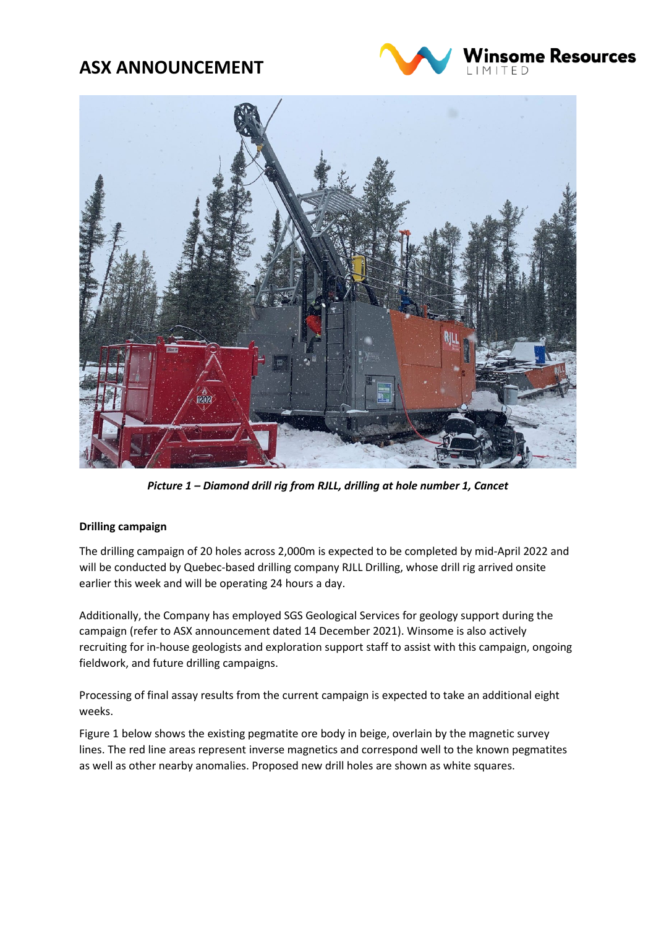## **ASX ANNOUNCEMENT**





*Picture 1 – Diamond drill rig from RJLL, drilling at hole number 1, Cancet*

### **Drilling campaign**

The drilling campaign of 20 holes across 2,000m is expected to be completed by mid-April 2022 and will be conducted by Quebec-based drilling company [RJLL Drilling,](https://rjll.ca/home/) whose drill rig arrived onsite earlier this week and will be operating 24 hours a day.

Additionally, the Company has employed SGS Geological Services for geology support during the campaign (refer to ASX announcement dated 14 December 2021). Winsome is also actively recruiting for in-house geologists and exploration support staff to assist with this campaign, ongoing fieldwork, and future drilling campaigns.

Processing of final assay results from the current campaign is expected to take an additional eight weeks.

Figure 1 below shows the existing pegmatite ore body in beige, overlain by the magnetic survey lines. The red line areas represent inverse magnetics and correspond well to the known pegmatites as well as other nearby anomalies. Proposed new drill holes are shown as white squares.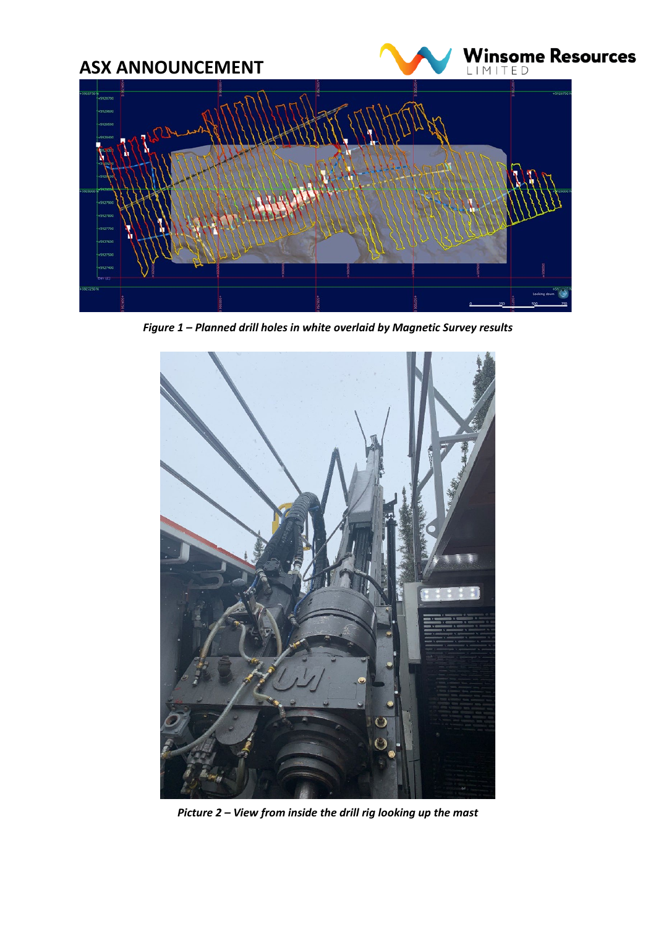

*Figure 1 – Planned drill holes in white overlaid by Magnetic Survey results*



*Picture 2 – View from inside the drill rig looking up the mast*